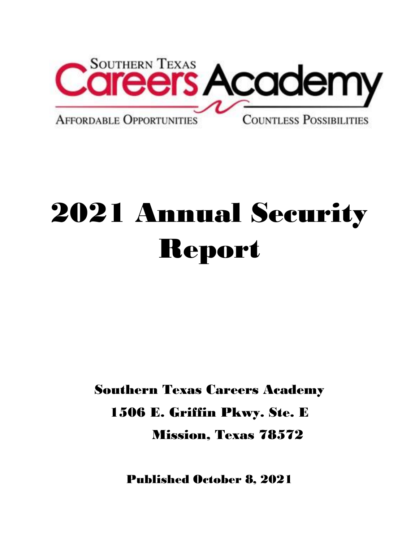

## 2021 Annual Security Report

Southern Texas Careers Academy 1506 E. Griffin Pkwy. Ste. E Mission, Texas 78572

Published October 8, 2021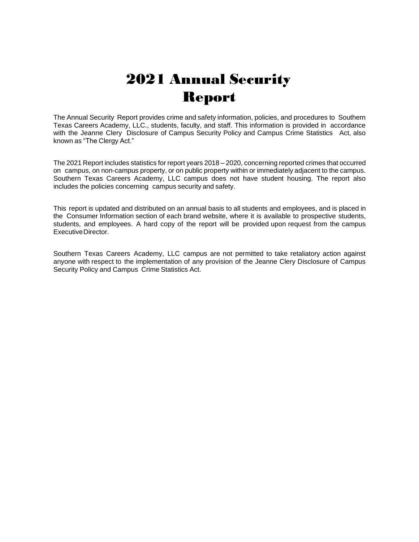## 2021 Annual Security Report

The Annual Security Report provides crime and safety information, policies, and procedures to Southern Texas Careers Academy, LLC., students, faculty, and staff. This information is provided in accordance with the Jeanne Clery Disclosure of Campus Security Policy and Campus Crime Statistics Act, also known as "The Clergy Act."

The 2021 Report includes statistics for report years 2018 – 2020, concerning reported crimes that occurred on campus, on non-campus property, or on public property within or immediately adjacent to the campus. Southern Texas Careers Academy, LLC campus does not have student housing. The report also includes the policies concerning campus security and safety.

This report is updated and distributed on an annual basis to all students and employees, and is placed in the Consumer Information section of each brand website, where it is available to prospective students, students, and employees. A hard copy of the report will be provided upon request from the campus ExecutiveDirector.

Southern Texas Careers Academy, LLC campus are not permitted to take retaliatory action against anyone with respect to the implementation of any provision of the Jeanne Clery Disclosure of Campus Security Policy and Campus Crime Statistics Act.